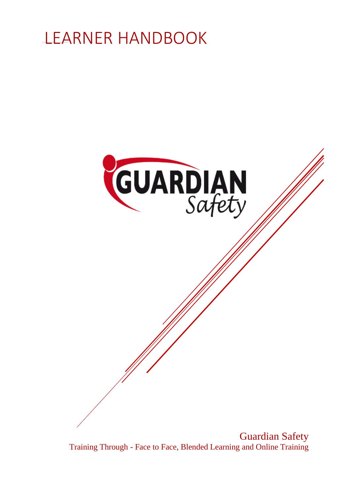



Guardian Safety Training Through - Face to Face, Blended Learning and Online Training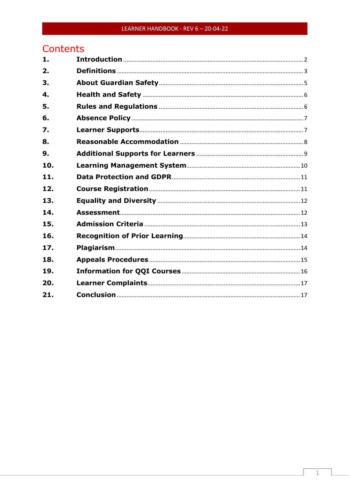#### LEARNER HANDBOOK - REV 6 - 20-04-22

# Contents

| 1.  |  |
|-----|--|
| 2.  |  |
| 3.  |  |
| 4.  |  |
| 5.  |  |
| 6.  |  |
| 7.  |  |
| 8.  |  |
| 9.  |  |
| 10. |  |
| 11. |  |
| 12. |  |
| 13. |  |
| 14. |  |
| 15. |  |
| 16. |  |
| 17. |  |
| 18. |  |
| 19. |  |
| 20. |  |
| 21. |  |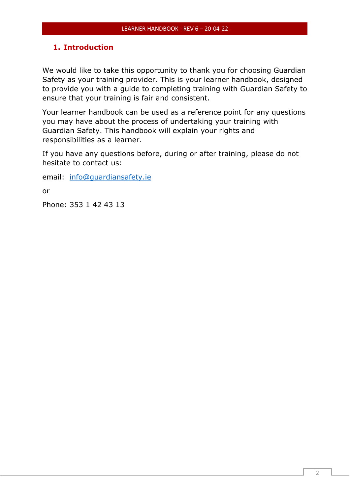## <span id="page-2-0"></span>**1. Introduction**

We would like to take this opportunity to thank you for choosing Guardian Safety as your training provider. This is your learner handbook, designed to provide you with a guide to completing training with Guardian Safety to ensure that your training is fair and consistent.

Your learner handbook can be used as a reference point for any questions you may have about the process of undertaking your training with Guardian Safety. This handbook will explain your rights and responsibilities as a learner.

If you have any questions before, during or after training, please do not hesitate to contact us:

email: [info@guardiansafety.ie](mailto:info@guardiansafety.ie)

or

Phone: 353 1 42 43 13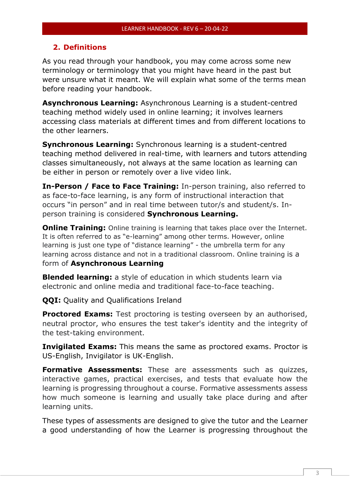#### <span id="page-3-0"></span>**2. Definitions**

As you read through your handbook, you may come across some new terminology or terminology that you might have heard in the past but were unsure what it meant. We will explain what some of the terms mean before reading your handbook.

**Asynchronous Learning:** Asynchronous Learning is a student-centred teaching method widely used in online learning; it involves learners accessing class materials at different times and from different locations to the other learners.

**Synchronous Learning:** Synchronous learning is a student-centred teaching method delivered in real-time, with learners and tutors attending classes simultaneously, not always at the same location as learning can be either in person or remotely over a live video link.

**In-Person / Face to Face Training:** In-person training, also referred to as face-to-face learning, is any form of instructional interaction that occurs "in person" and in real time between tutor/s and student/s. Inperson training is considered **Synchronous Learning.**

**Online Training:** Online training is learning that takes place over the Internet. It is often referred to as "e-learning" among other terms. However, online learning is just one type of "distance learning" - the umbrella term for any learning across distance and not in a traditional classroom. Online training is a form of **Asynchronous Learning**

**Blended learning:** a style of education in which students learn via electronic and online media and traditional face-to-face teaching.

**QQI:** Quality and Qualifications Ireland

**Proctored Exams:** Test proctoring is testing overseen by an authorised, neutral proctor, who ensures the test taker's identity and the integrity of the test-taking environment.

**Invigilated Exams:** This means the same as proctored exams. Proctor is US-English, Invigilator is UK-English.

**Formative Assessments:** These are assessments such as quizzes, interactive games, practical exercises, and tests that evaluate how the learning is progressing throughout a course. Formative assessments assess how much someone is learning and usually take place during and after learning units.

These types of assessments are designed to give the tutor and the Learner a good understanding of how the Learner is progressing throughout the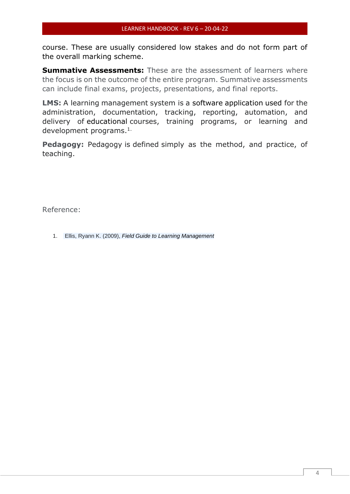course. These are usually considered low stakes and do not form part of the overall marking scheme.

**Summative Assessments:** These are the assessment of learners where the focus is on the outcome of the entire program. Summative assessments can include final exams, projects, presentations, and final reports.

**LMS:** A learning management system is a software application used for the administration, documentation, tracking, reporting, automation, and delivery of educational courses, training programs, or learning and development programs.1.

**Pedagogy:** Pedagogy is defined simply as the method, and practice, of teaching.

Reference:

1. Ellis, Ryann K. (2009), *Field Guide to Learning Management*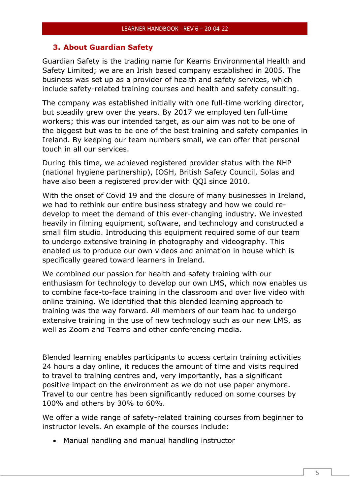#### <span id="page-5-0"></span>**3. About Guardian Safety**

Guardian Safety is the trading name for Kearns Environmental Health and Safety Limited; we are an Irish based company established in 2005. The business was set up as a provider of health and safety services, which include safety-related training courses and health and safety consulting.

The company was established initially with one full-time working director, but steadily grew over the years. By 2017 we employed ten full-time workers; this was our intended target, as our aim was not to be one of the biggest but was to be one of the best training and safety companies in Ireland. By keeping our team numbers small, we can offer that personal touch in all our services.

During this time, we achieved registered provider status with the NHP (national hygiene partnership), IOSH, British Safety Council, Solas and have also been a registered provider with QQI since 2010.

With the onset of Covid 19 and the closure of many businesses in Ireland, we had to rethink our entire business strategy and how we could redevelop to meet the demand of this ever-changing industry. We invested heavily in filming equipment, software, and technology and constructed a small film studio. Introducing this equipment required some of our team to undergo extensive training in photography and videography. This enabled us to produce our own videos and animation in house which is specifically geared toward learners in Ireland.

We combined our passion for health and safety training with our enthusiasm for technology to develop our own LMS, which now enables us to combine face-to-face training in the classroom and over live video with online training. We identified that this blended learning approach to training was the way forward. All members of our team had to undergo extensive training in the use of new technology such as our new LMS, as well as Zoom and Teams and other conferencing media.

Blended learning enables participants to access certain training activities 24 hours a day online, it reduces the amount of time and visits required to travel to training centres and, very importantly, has a significant positive impact on the environment as we do not use paper anymore. Travel to our centre has been significantly reduced on some courses by 100% and others by 30% to 60%.

We offer a wide range of safety-related training courses from beginner to instructor levels. An example of the courses include:

• Manual handling and manual handling instructor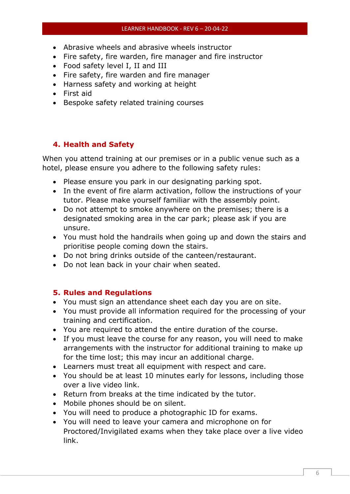#### LEARNER HANDBOOK - REV 6 – 20-04-22

- Abrasive wheels and abrasive wheels instructor
- Fire safety, fire warden, fire manager and fire instructor
- Food safety level I, II and III
- Fire safety, fire warden and fire manager
- Harness safety and working at height
- First aid
- Bespoke safety related training courses

## <span id="page-6-0"></span>**4. Health and Safety**

When you attend training at our premises or in a public venue such as a hotel, please ensure you adhere to the following safety rules:

- Please ensure you park in our designating parking spot.
- In the event of fire alarm activation, follow the instructions of your tutor. Please make yourself familiar with the assembly point.
- Do not attempt to smoke anywhere on the premises; there is a designated smoking area in the car park; please ask if you are unsure.
- You must hold the handrails when going up and down the stairs and prioritise people coming down the stairs.
- Do not bring drinks outside of the canteen/restaurant.
- Do not lean back in your chair when seated.

### <span id="page-6-1"></span>**5. Rules and Regulations**

- You must sign an attendance sheet each day you are on site.
- You must provide all information required for the processing of your training and certification.
- You are required to attend the entire duration of the course.
- If you must leave the course for any reason, you will need to make arrangements with the instructor for additional training to make up for the time lost; this may incur an additional charge.
- Learners must treat all equipment with respect and care.
- You should be at least 10 minutes early for lessons, including those over a live video link.
- Return from breaks at the time indicated by the tutor.
- Mobile phones should be on silent.
- You will need to produce a photographic ID for exams.
- You will need to leave your camera and microphone on for Proctored/Invigilated exams when they take place over a live video link.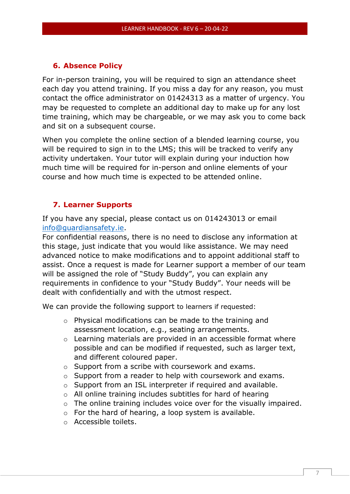#### <span id="page-7-0"></span>**6. Absence Policy**

For in-person training, you will be required to sign an attendance sheet each day you attend training. If you miss a day for any reason, you must contact the office administrator on 01424313 as a matter of urgency. You may be requested to complete an additional day to make up for any lost time training, which may be chargeable, or we may ask you to come back and sit on a subsequent course.

When you complete the online section of a blended learning course, you will be required to sign in to the LMS; this will be tracked to verify any activity undertaken. Your tutor will explain during your induction how much time will be required for in-person and online elements of your course and how much time is expected to be attended online.

#### <span id="page-7-1"></span>**7. Learner Supports**

If you have any special, please contact us on 014243013 or email [info@guardiansafety.ie.](mailto:info@guardiansafety.ie)

For confidential reasons, there is no need to disclose any information at this stage, just indicate that you would like assistance. We may need advanced notice to make modifications and to appoint additional staff to assist. Once a request is made for Learner support a member of our team will be assigned the role of "Study Buddy", you can explain any requirements in confidence to your "Study Buddy". Your needs will be dealt with confidentially and with the utmost respect.

We can provide the following support to learners if requested:

- o Physical modifications can be made to the training and assessment location, e.g., seating arrangements.
- o Learning materials are provided in an accessible format where possible and can be modified if requested, such as larger text, and different coloured paper.
- o Support from a scribe with coursework and exams.
- o Support from a reader to help with coursework and exams.
- o Support from an ISL interpreter if required and available.
- o All online training includes subtitles for hard of hearing
- o The online training includes voice over for the visually impaired.
- $\circ$  For the hard of hearing, a loop system is available.
- o Accessible toilets.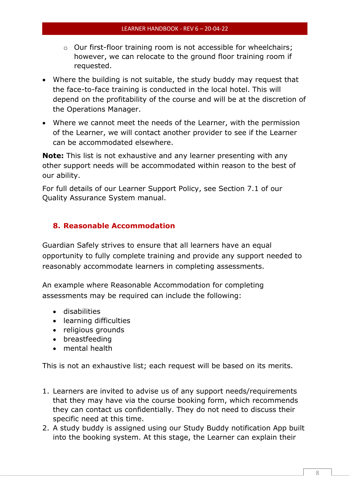- o Our first-floor training room is not accessible for wheelchairs; however, we can relocate to the ground floor training room if requested.
- Where the building is not suitable, the study buddy may request that the face-to-face training is conducted in the local hotel. This will depend on the profitability of the course and will be at the discretion of the Operations Manager.
- Where we cannot meet the needs of the Learner, with the permission of the Learner, we will contact another provider to see if the Learner can be accommodated elsewhere.

**Note:** This list is not exhaustive and any learner presenting with any other support needs will be accommodated within reason to the best of our ability.

For full details of our Learner Support Policy, see Section 7.1 of our Quality Assurance System manual.

# <span id="page-8-0"></span>**8. Reasonable Accommodation**

Guardian Safely strives to ensure that all learners have an equal opportunity to fully complete training and provide any support needed to reasonably accommodate learners in completing assessments.

An example where Reasonable Accommodation for completing assessments may be required can include the following:

- disabilities
- learning difficulties
- religious grounds
- breastfeeding
- mental health

This is not an exhaustive list; each request will be based on its merits.

- 1. Learners are invited to advise us of any support needs/requirements that they may have via the course booking form, which recommends they can contact us confidentially. They do not need to discuss their specific need at this time.
- 2. A study buddy is assigned using our Study Buddy notification App built into the booking system. At this stage, the Learner can explain their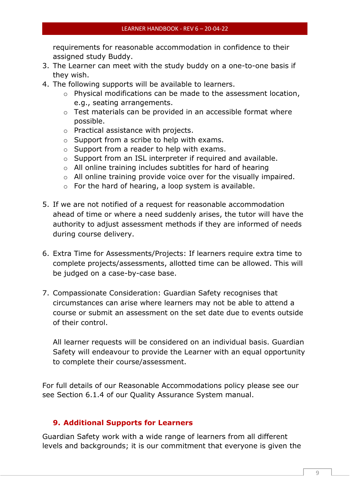requirements for reasonable accommodation in confidence to their assigned study Buddy.

- 3. The Learner can meet with the study buddy on a one-to-one basis if they wish.
- 4. The following supports will be available to learners.
	- o Physical modifications can be made to the assessment location, e.g., seating arrangements.
	- o Test materials can be provided in an accessible format where possible.
	- o Practical assistance with projects.
	- o Support from a scribe to help with exams.
	- o Support from a reader to help with exams.
	- o Support from an ISL interpreter if required and available.
	- o All online training includes subtitles for hard of hearing
	- $\circ$  All online training provide voice over for the visually impaired.
	- o For the hard of hearing, a loop system is available.
- 5. If we are not notified of a request for reasonable accommodation ahead of time or where a need suddenly arises, the tutor will have the authority to adjust assessment methods if they are informed of needs during course delivery.
- 6. Extra Time for Assessments/Projects: If learners require extra time to complete projects/assessments, allotted time can be allowed. This will be judged on a case-by-case base.
- 7. Compassionate Consideration: Guardian Safety recognises that circumstances can arise where learners may not be able to attend a course or submit an assessment on the set date due to events outside of their control.

All learner requests will be considered on an individual basis. Guardian Safety will endeavour to provide the Learner with an equal opportunity to complete their course/assessment.

For full details of our Reasonable Accommodations policy please see our see Section 6.1.4 of our Quality Assurance System manual.

#### <span id="page-9-0"></span>**9. Additional Supports for Learners**

Guardian Safety work with a wide range of learners from all different levels and backgrounds; it is our commitment that everyone is given the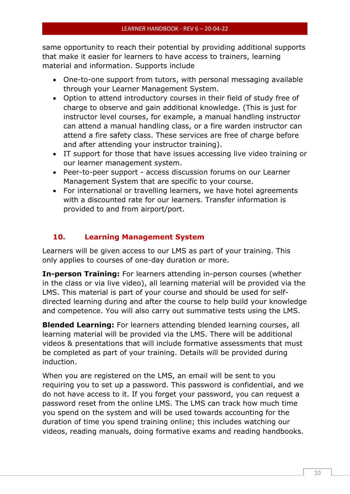same opportunity to reach their potential by providing additional supports that make it easier for learners to have access to trainers, learning material and information. Supports include

- One-to-one support from tutors, with personal messaging available through your Learner Management System.
- Option to attend introductory courses in their field of study free of charge to observe and gain additional knowledge. (This is just for instructor level courses, for example, a manual handling instructor can attend a manual handling class, or a fire warden instructor can attend a fire safety class. These services are free of charge before and after attending your instructor training).
- IT support for those that have issues accessing live video training or our learner management system.
- Peer-to-peer support access discussion forums on our Learner Management System that are specific to your course.
- For international or travelling learners, we have hotel agreements with a discounted rate for our learners. Transfer information is provided to and from airport/port.

# <span id="page-10-0"></span>**10. Learning Management System**

Learners will be given access to our LMS as part of your training. This only applies to courses of one-day duration or more.

**In-person Training:** For learners attending in-person courses (whether in the class or via live video), all learning material will be provided via the LMS. This material is part of your course and should be used for selfdirected learning during and after the course to help build your knowledge and competence. You will also carry out summative tests using the LMS.

**Blended Learning:** For learners attending blended learning courses, all learning material will be provided via the LMS. There will be additional videos & presentations that will include formative assessments that must be completed as part of your training. Details will be provided during induction.

When you are registered on the LMS, an email will be sent to you requiring you to set up a password. This password is confidential, and we do not have access to it. If you forget your password, you can request a password reset from the online LMS. The LMS can track how much time you spend on the system and will be used towards accounting for the duration of time you spend training online; this includes watching our videos, reading manuals, doing formative exams and reading handbooks.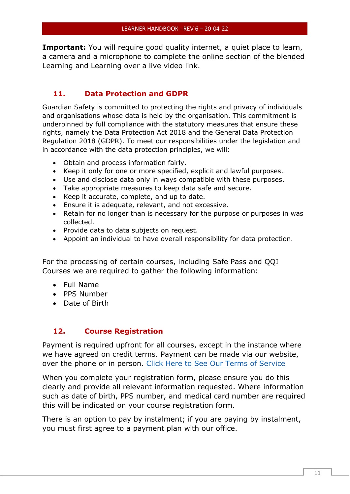**Important:** You will require good quality internet, a quiet place to learn, a camera and a microphone to complete the online section of the blended Learning and Learning over a live video link.

## <span id="page-11-0"></span>**11. Data Protection and GDPR**

Guardian Safety is committed to protecting the rights and privacy of individuals and organisations whose data is held by the organisation. This commitment is underpinned by full compliance with the statutory measures that ensure these rights, namely the Data Protection Act 2018 and the General Data Protection Regulation 2018 (GDPR). To meet our responsibilities under the legislation and in accordance with the data protection principles, we will:

- Obtain and process information fairly.
- Keep it only for one or more specified, explicit and lawful purposes.
- Use and disclose data only in ways compatible with these purposes.
- Take appropriate measures to keep data safe and secure.
- Keep it accurate, complete, and up to date.
- Ensure it is adequate, relevant, and not excessive.
- Retain for no longer than is necessary for the purpose or purposes in was collected.
- Provide data to data subjects on request.
- Appoint an individual to have overall responsibility for data protection.

For the processing of certain courses, including Safe Pass and QQI Courses we are required to gather the following information:

- Full Name
- PPS Number
- Date of Birth

### <span id="page-11-1"></span>**12. Course Registration**

Payment is required upfront for all courses, except in the instance where we have agreed on credit terms. Payment can be made via our website, over the phone or in person. [Click Here to See Our Terms of Service](https://guardiansafetytraining.ie/terms-of-service/)

When you complete your registration form, please ensure you do this clearly and provide all relevant information requested. Where information such as date of birth, PPS number, and medical card number are required this will be indicated on your course registration form.

There is an option to pay by instalment; if you are paying by instalment, you must first agree to a payment plan with our office.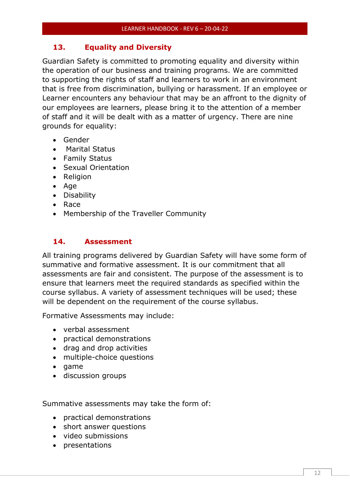# <span id="page-12-0"></span>**13. Equality and Diversity**

Guardian Safety is committed to promoting equality and diversity within the operation of our business and training programs. We are committed to supporting the rights of staff and learners to work in an environment that is free from discrimination, bullying or harassment. If an employee or Learner encounters any behaviour that may be an affront to the dignity of our employees are learners, please bring it to the attention of a member of staff and it will be dealt with as a matter of urgency. There are nine grounds for equality:

- Gender
- Marital Status
- Family Status
- Sexual Orientation
- Religion
- Age
- Disability
- Race
- Membership of the Traveller Community

# <span id="page-12-1"></span>**14. Assessment**

All training programs delivered by Guardian Safety will have some form of summative and formative assessment. It is our commitment that all assessments are fair and consistent. The purpose of the assessment is to ensure that learners meet the required standards as specified within the course syllabus. A variety of assessment techniques will be used; these will be dependent on the requirement of the course syllabus.

Formative Assessments may include:

- verbal assessment
- practical demonstrations
- drag and drop activities
- multiple-choice questions
- game
- discussion groups

Summative assessments may take the form of:

- practical demonstrations
- short answer questions
- video submissions
- presentations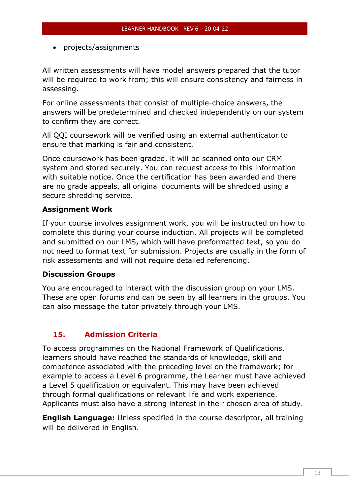• projects/assignments

All written assessments will have model answers prepared that the tutor will be required to work from; this will ensure consistency and fairness in assessing.

For online assessments that consist of multiple-choice answers, the answers will be predetermined and checked independently on our system to confirm they are correct.

All QQI coursework will be verified using an external authenticator to ensure that marking is fair and consistent.

Once coursework has been graded, it will be scanned onto our CRM system and stored securely. You can request access to this information with suitable notice. Once the certification has been awarded and there are no grade appeals, all original documents will be shredded using a secure shredding service.

## **Assignment Work**

If your course involves assignment work, you will be instructed on how to complete this during your course induction. All projects will be completed and submitted on our LMS, which will have preformatted text, so you do not need to format text for submission. Projects are usually in the form of risk assessments and will not require detailed referencing.

### **Discussion Groups**

You are encouraged to interact with the discussion group on your LMS. These are open forums and can be seen by all learners in the groups. You can also message the tutor privately through your LMS.

# <span id="page-13-0"></span>**15. Admission Criteria**

To access programmes on the National Framework of Qualifications, learners should have reached the standards of knowledge, skill and competence associated with the preceding level on the framework; for example to access a Level 6 programme, the Learner must have achieved a Level 5 qualification or equivalent. This may have been achieved through formal qualifications or relevant life and work experience. Applicants must also have a strong interest in their chosen area of study.

**English Language:** Unless specified in the course descriptor, all training will be delivered in English.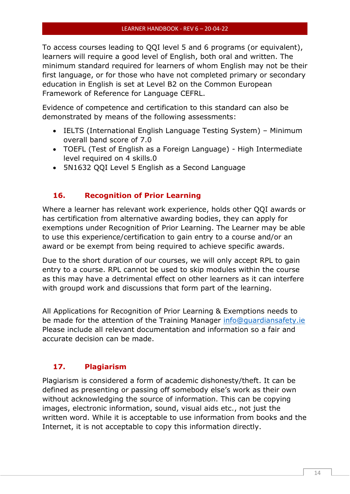To access courses leading to QQI level 5 and 6 programs (or equivalent), learners will require a good level of English, both oral and written. The minimum standard required for learners of whom English may not be their first language, or for those who have not completed primary or secondary education in English is set at Level B2 on the Common European Framework of Reference for Language CEFRL.

Evidence of competence and certification to this standard can also be demonstrated by means of the following assessments:

- IELTS (International English Language Testing System) Minimum overall band score of 7.0
- TOEFL (Test of English as a Foreign Language) High Intermediate level required on 4 skills.0
- 5N1632 QQI Level 5 English as a Second Language

# <span id="page-14-0"></span>**16. Recognition of Prior Learning**

Where a learner has relevant work experience, holds other QQI awards or has certification from alternative awarding bodies, they can apply for exemptions under Recognition of Prior Learning. The Learner may be able to use this experience/certification to gain entry to a course and/or an award or be exempt from being required to achieve specific awards.

Due to the short duration of our courses, we will only accept RPL to gain entry to a course. RPL cannot be used to skip modules within the course as this may have a detrimental effect on other learners as it can interfere with groupd work and discussions that form part of the learning.

All Applications for Recognition of Prior Learning & Exemptions needs to be made for the attention of the Training Manager [info@guardiansafety.ie](mailto:info@guardiansafety.ie) Please include all relevant documentation and information so a fair and accurate decision can be made.

# <span id="page-14-1"></span>**17. Plagiarism**

Plagiarism is considered a form of academic dishonesty/theft. It can be defined as presenting or passing off somebody else's work as their own without acknowledging the source of information. This can be copying images, electronic information, sound, visual aids etc., not just the written word. While it is acceptable to use information from books and the Internet, it is not acceptable to copy this information directly.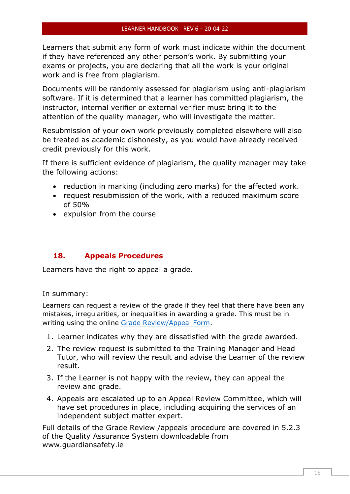Learners that submit any form of work must indicate within the document if they have referenced any other person's work. By submitting your exams or projects, you are declaring that all the work is your original work and is free from plagiarism.

Documents will be randomly assessed for plagiarism using anti-plagiarism software. If it is determined that a learner has committed plagiarism, the instructor, internal verifier or external verifier must bring it to the attention of the quality manager, who will investigate the matter.

Resubmission of your own work previously completed elsewhere will also be treated as academic dishonesty, as you would have already received credit previously for this work.

If there is sufficient evidence of plagiarism, the quality manager may take the following actions:

- reduction in marking (including zero marks) for the affected work.
- request resubmission of the work, with a reduced maximum score of 50%
- expulsion from the course

### <span id="page-15-0"></span>**18. Appeals Procedures**

Learners have the right to appeal a grade.

In summary:

Learners can request a review of the grade if they feel that there have been any mistakes, irregularities, or inequalities in awarding a grade. This must be in writing using the online [Grade Review/Appeal Form](https://podio.com/guardiansafetyie/work-activities/apps/22742290/webform).

- 1. Learner indicates why they are dissatisfied with the grade awarded.
- 2. The review request is submitted to the Training Manager and Head Tutor, who will review the result and advise the Learner of the review result.
- 3. If the Learner is not happy with the review, they can appeal the review and grade.
- 4. Appeals are escalated up to an Appeal Review Committee, which will have set procedures in place, including acquiring the services of an independent subject matter expert.

Full details of the Grade Review /appeals procedure are covered in 5.2.3 of the Quality Assurance System downloadable from www.guardiansafety.ie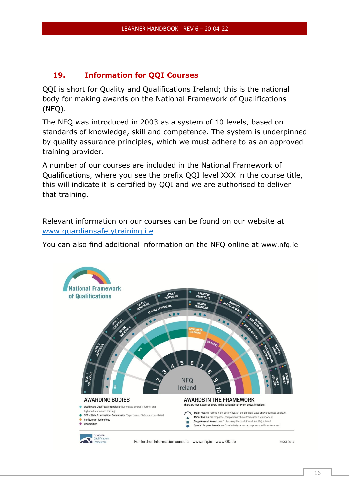## <span id="page-16-0"></span>**19. Information for QQI Courses**

QQI is short for Quality and Qualifications Ireland; this is the national body for making awards on the National Framework of Qualifications (NFQ).

The NFQ was introduced in 2003 as a system of 10 levels, based on standards of knowledge, skill and competence. The system is underpinned by quality assurance principles, which we must adhere to as an approved training provider.

A number of our courses are included in the National Framework of Qualifications, where you see the prefix QQI level XXX in the course title, this will indicate it is certified by QQI and we are authorised to deliver that training.

Relevant information on our courses can be found on our website at [www.guardiansafetytraining.i.e.](http://www.guardiansafetytraining.i.e/)

You can also find additional information on the NFQ online at [www.nfq.ie](http://www.nfq.ie/)